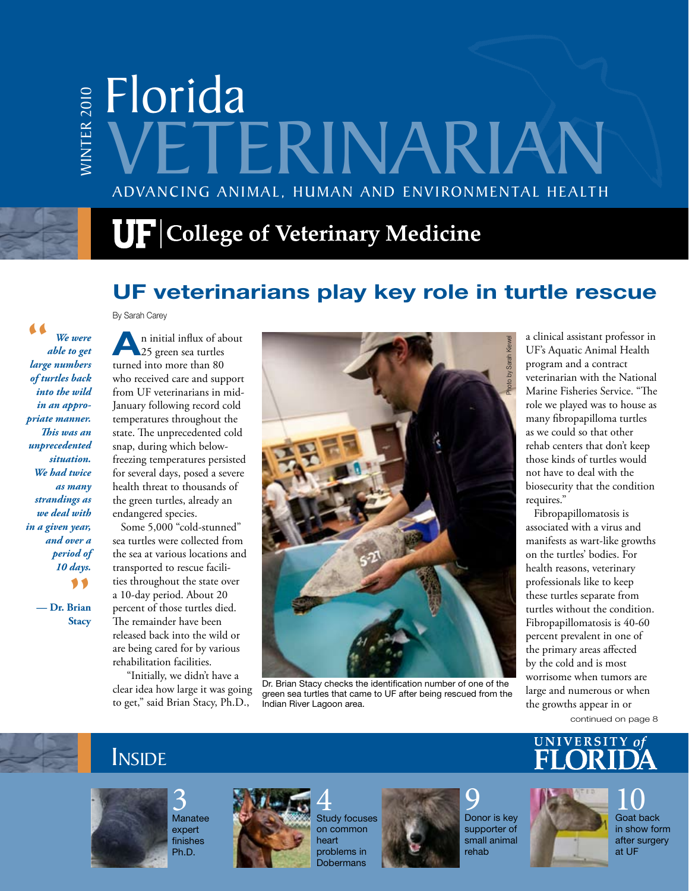# Advancing Animal, Human and Environmental Health Florida WINT E R 2010 VETERINARIAN

# $\mathbf{U}\mathbf{F}$  College of Veterinary Medicine

## **UF veterinarians play key role in turtle rescue**

By Sarah Carey

" *We were able to get large numbers of turtles back into the wild in an appropriate manner. This was an unprecedented situation. We had twice as many strandings as we deal with in a given year, and over a period of 10 days.*

*y*<br>Brian<br>Stacy **— Dr. Brian Stacy**

**A**n initial influx of about 25 green sea turtles turned into more than 80 who received care and support from UF veterinarians in mid-January following record cold temperatures throughout the state. The unprecedented cold snap, during which belowfreezing temperatures persisted for several days, posed a severe health threat to thousands of the green turtles, already an endangered species.

Some 5,000 "cold-stunned" sea turtles were collected from the sea at various locations and transported to rescue facilities throughout the state over a 10-day period. About 20 percent of those turtles died. The remainder have been released back into the wild or are being cared for by various rehabilitation facilities.

 "Initially, we didn't have a clear idea how large it was going to get," said Brian Stacy, Ph.D.,



Dr. Brian Stacy checks the identification number of one of the green sea turtles that came to UF after being rescued from the Indian River Lagoon area.

a clinical assistant professor in UF's Aquatic Animal Health program and a contract veterinarian with the National Marine Fisheries Service. "The role we played was to house as many fibropapilloma turtles as we could so that other rehab centers that don't keep those kinds of turtles would not have to deal with the biosecurity that the condition requires."

Fibropapillomatosis is associated with a virus and manifests as wart-like growths on the turtles' bodies. For health reasons, veterinary professionals like to keep these turtles separate from turtles without the condition. Fibropapillomatosis is 40-60 percent prevalent in one of the primary areas affected by the cold and is most worrisome when tumors are large and numerous or when the growths appear in or

continued on page 8

## **INSIDE**







4 Study focuses on common heart problems in Dobermans



**C** Donor is key supporter of small animal rehab





FLORIDA VETERINARIAN 1

10 Goat back in show form after surgery at UF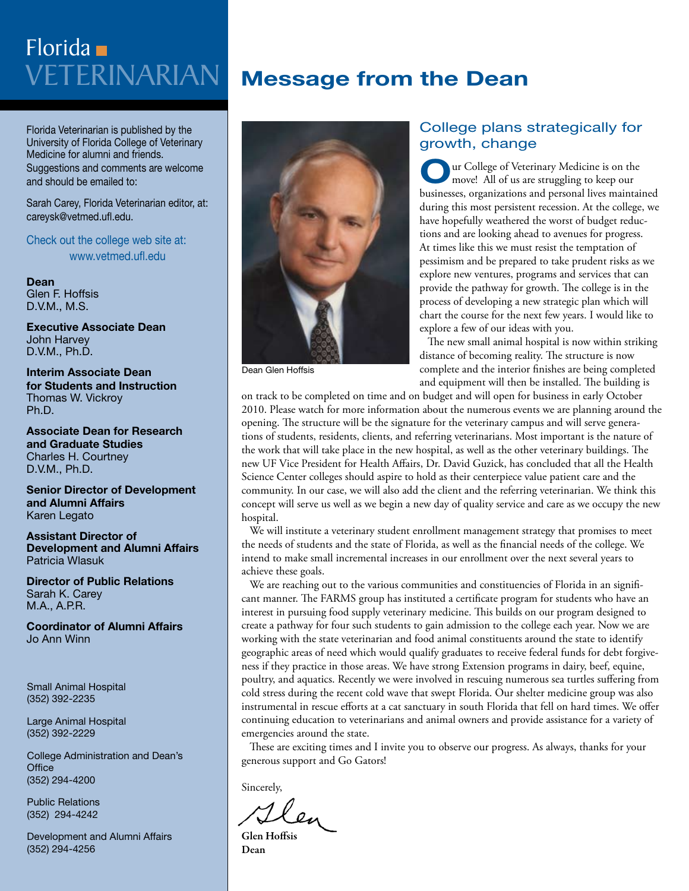# Veterinarian Florida

Florida Veterinarian is published by the University of Florida College of Veterinary Medicine for alumni and friends. Suggestions and comments are welcome and should be emailed to:

Sarah Carey, Florida Veterinarian editor, at: careysk@vetmed.ufl.edu.

Check out the college web site at: www.vetmed.ufl.edu

**Dean** Glen F. Hoffsis D.V.M., M.S.

**Executive Associate Dean**  John Harvey D.V.M., Ph.D.

**Interim Associate Dean for Students and Instruction** Thomas W. Vickroy Ph.D.

**Associate Dean for Research and Graduate Studies** Charles H. Courtney D.V.M., Ph.D.

**Senior Director of Development and Alumni Affairs** Karen Legato

**Assistant Director of Development and Alumni Affairs** Patricia Wlasuk

**Director of Public Relations** Sarah K. Carey M.A., A.P.R.

**Coordinator of Alumni Affairs** Jo Ann Winn

Small Animal Hospital (352) 392-2235

Large Animal Hospital (352) 392-2229

College Administration and Dean's **Office** (352) 294-4200

Public Relations (352) 294-4242

Development and Alumni Affairs (352) 294-4256

## **Message from the Dean**



Dean Glen Hoffsis

#### College plans strategically for growth, change

**O**ur College of Veterinary Medicine is on the move! All of us are struggling to keep our businesses, organizations and personal lives maintained during this most persistent recession. At the college, we have hopefully weathered the worst of budget reductions and are looking ahead to avenues for progress. At times like this we must resist the temptation of pessimism and be prepared to take prudent risks as we explore new ventures, programs and services that can provide the pathway for growth. The college is in the process of developing a new strategic plan which will chart the course for the next few years. I would like to explore a few of our ideas with you.

The new small animal hospital is now within striking distance of becoming reality. The structure is now complete and the interior finishes are being completed and equipment will then be installed. The building is

on track to be completed on time and on budget and will open for business in early October 2010. Please watch for more information about the numerous events we are planning around the opening. The structure will be the signature for the veterinary campus and will serve generations of students, residents, clients, and referring veterinarians. Most important is the nature of the work that will take place in the new hospital, as well as the other veterinary buildings. The new UF Vice President for Health Affairs, Dr. David Guzick, has concluded that all the Health Science Center colleges should aspire to hold as their centerpiece value patient care and the community. In our case, we will also add the client and the referring veterinarian. We think this concept will serve us well as we begin a new day of quality service and care as we occupy the new hospital.

We will institute a veterinary student enrollment management strategy that promises to meet the needs of students and the state of Florida, as well as the financial needs of the college. We intend to make small incremental increases in our enrollment over the next several years to achieve these goals.

We are reaching out to the various communities and constituencies of Florida in an significant manner. The FARMS group has instituted a certificate program for students who have an interest in pursuing food supply veterinary medicine. This builds on our program designed to create a pathway for four such students to gain admission to the college each year. Now we are working with the state veterinarian and food animal constituents around the state to identify geographic areas of need which would qualify graduates to receive federal funds for debt forgiveness if they practice in those areas. We have strong Extension programs in dairy, beef, equine, poultry, and aquatics. Recently we were involved in rescuing numerous sea turtles suffering from cold stress during the recent cold wave that swept Florida. Our shelter medicine group was also instrumental in rescue efforts at a cat sanctuary in south Florida that fell on hard times. We offer continuing education to veterinarians and animal owners and provide assistance for a variety of emergencies around the state.

These are exciting times and I invite you to observe our progress. As always, thanks for your generous support and Go Gators!

Sincerely,

Glen Hoffsis Dean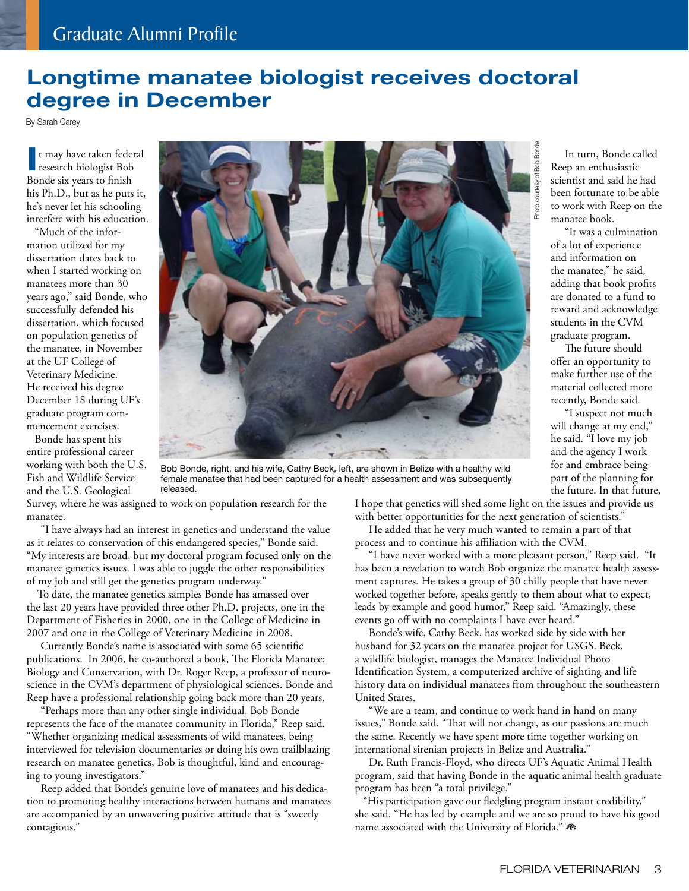## **Longtime manatee biologist receives doctoral degree in December**

By Sarah Carey

**I** t may have taken feder<br>research biologist Bob t may have taken federal Bonde six years to finish his Ph.D., but as he puts it, he's never let his schooling interfere with his education.

"Much of the information utilized for my dissertation dates back to when I started working on manatees more than 30 years ago," said Bonde, who successfully defended his dissertation, which focused on population genetics of the manatee, in November at the UF College of Veterinary Medicine. He received his degree December 18 during UF's graduate program commencement exercises.

Bonde has spent his entire professional career working with both the U.S. Fish and Wildlife Service and the U.S. Geological



Bob Bonde, right, and his wife, Cathy Beck, left, are shown in Belize with a healthy wild female manatee that had been captured for a health assessment and was subsequently released.

Survey, where he was assigned to work on population research for the manatee.

 "I have always had an interest in genetics and understand the value as it relates to conservation of this endangered species," Bonde said. "My interests are broad, but my doctoral program focused only on the manatee genetics issues. I was able to juggle the other responsibilities of my job and still get the genetics program underway."

 To date, the manatee genetics samples Bonde has amassed over the last 20 years have provided three other Ph.D. projects, one in the Department of Fisheries in 2000, one in the College of Medicine in 2007 and one in the College of Veterinary Medicine in 2008.

 Currently Bonde's name is associated with some 65 scientific publications. In 2006, he co-authored a book, The Florida Manatee: Biology and Conservation, with Dr. Roger Reep, a professor of neuroscience in the CVM's department of physiological sciences. Bonde and Reep have a professional relationship going back more than 20 years.

 "Perhaps more than any other single individual, Bob Bonde represents the face of the manatee community in Florida," Reep said. "Whether organizing medical assessments of wild manatees, being interviewed for television documentaries or doing his own trailblazing research on manatee genetics, Bob is thoughtful, kind and encouraging to young investigators."

 Reep added that Bonde's genuine love of manatees and his dedication to promoting healthy interactions between humans and manatees are accompanied by an unwavering positive attitude that is "sweetly contagious."

I hope that genetics will shed some light on the issues and provide us with better opportunities for the next generation of scientists."

 He added that he very much wanted to remain a part of that process and to continue his affiliation with the CVM.

 "I have never worked with a more pleasant person," Reep said. "It has been a revelation to watch Bob organize the manatee health assessment captures. He takes a group of 30 chilly people that have never worked together before, speaks gently to them about what to expect, leads by example and good humor," Reep said. "Amazingly, these events go off with no complaints I have ever heard."

 Bonde's wife, Cathy Beck, has worked side by side with her husband for 32 years on the manatee project for USGS. Beck, a wildlife biologist, manages the Manatee Individual Photo Identification System, a computerized archive of sighting and life history data on individual manatees from throughout the southeastern United States.

 "We are a team, and continue to work hand in hand on many issues," Bonde said. "That will not change, as our passions are much the same. Recently we have spent more time together working on international sirenian projects in Belize and Australia."

 Dr. Ruth Francis-Floyd, who directs UF's Aquatic Animal Health program, said that having Bonde in the aquatic animal health graduate program has been "a total privilege."

"His participation gave our fledgling program instant credibility," she said. "He has led by example and we are so proud to have his good name associated with the University of Florida."

 In turn, Bonde called Reep an enthusiastic scientist and said he had been fortunate to be able to work with Reep on the manatee book.

 "It was a culmination of a lot of experience and information on the manatee," he said, adding that book profits are donated to a fund to reward and acknowledge students in the CVM graduate program.

 The future should offer an opportunity to make further use of the material collected more recently, Bonde said.

 "I suspect not much will change at my end," he said. "I love my job and the agency I work for and embrace being part of the planning for the future. In that future,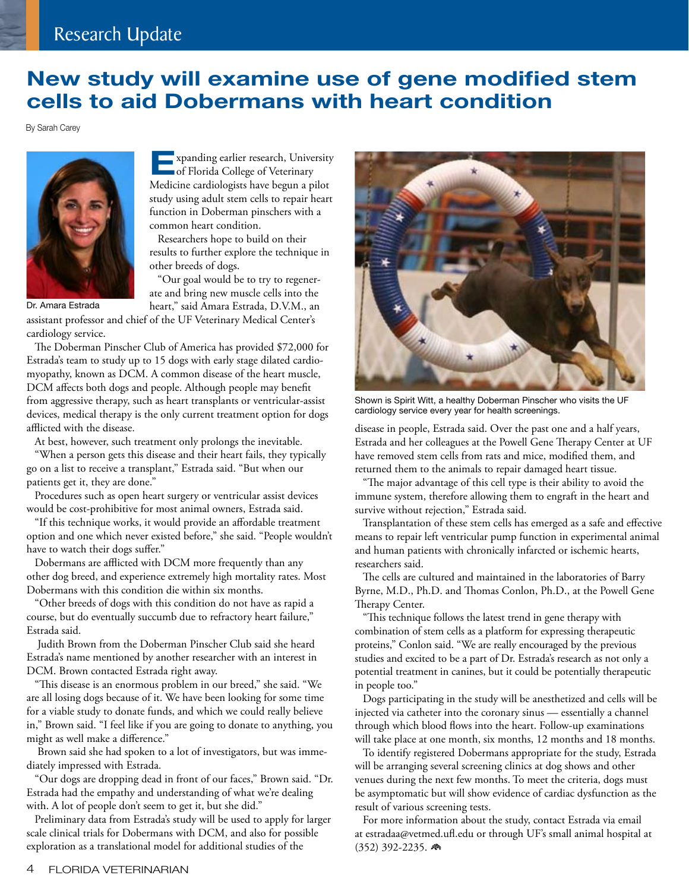## **New study will examine use of gene modified stem cells to aid Dobermans with heart condition**

By Sarah Carey



**E**xpanding earlier research, University<br>
of Florida College of Veterinary Medicine cardiologists have begun a pilot study using adult stem cells to repair heart function in Doberman pinschers with a common heart condition.

Researchers hope to build on their results to further explore the technique in other breeds of dogs.

"Our goal would be to try to regenerate and bring new muscle cells into the heart," said Amara Estrada, D.V.M., an

assistant professor and chief of the UF Veterinary Medical Center's cardiology service.

The Doberman Pinscher Club of America has provided \$72,000 for Estrada's team to study up to 15 dogs with early stage dilated cardiomyopathy, known as DCM. A common disease of the heart muscle, DCM affects both dogs and people. Although people may benefit from aggressive therapy, such as heart transplants or ventricular-assist devices, medical therapy is the only current treatment option for dogs afflicted with the disease.

At best, however, such treatment only prolongs the inevitable.

"When a person gets this disease and their heart fails, they typically go on a list to receive a transplant," Estrada said. "But when our patients get it, they are done."

Procedures such as open heart surgery or ventricular assist devices would be cost-prohibitive for most animal owners, Estrada said.

"If this technique works, it would provide an affordable treatment option and one which never existed before," she said. "People wouldn't have to watch their dogs suffer."

Dobermans are afflicted with DCM more frequently than any other dog breed, and experience extremely high mortality rates. Most Dobermans with this condition die within six months.

"Other breeds of dogs with this condition do not have as rapid a course, but do eventually succumb due to refractory heart failure," Estrada said.

 Judith Brown from the Doberman Pinscher Club said she heard Estrada's name mentioned by another researcher with an interest in DCM. Brown contacted Estrada right away.

"This disease is an enormous problem in our breed," she said. "We are all losing dogs because of it. We have been looking for some time for a viable study to donate funds, and which we could really believe in," Brown said. "I feel like if you are going to donate to anything, you might as well make a difference."

 Brown said she had spoken to a lot of investigators, but was immediately impressed with Estrada.

"Our dogs are dropping dead in front of our faces," Brown said. "Dr. Estrada had the empathy and understanding of what we're dealing with. A lot of people don't seem to get it, but she did."

Preliminary data from Estrada's study will be used to apply for larger scale clinical trials for Dobermans with DCM, and also for possible exploration as a translational model for additional studies of the



Shown is Spirit Witt, a healthy Doberman Pinscher who visits the UF cardiology service every year for health screenings.

disease in people, Estrada said. Over the past one and a half years, Estrada and her colleagues at the Powell Gene Therapy Center at UF have removed stem cells from rats and mice, modified them, and returned them to the animals to repair damaged heart tissue.

"The major advantage of this cell type is their ability to avoid the immune system, therefore allowing them to engraft in the heart and survive without rejection," Estrada said.

Transplantation of these stem cells has emerged as a safe and effective means to repair left ventricular pump function in experimental animal and human patients with chronically infarcted or ischemic hearts, researchers said.

The cells are cultured and maintained in the laboratories of Barry Byrne, M.D., Ph.D. and Thomas Conlon, Ph.D., at the Powell Gene Therapy Center.

"This technique follows the latest trend in gene therapy with combination of stem cells as a platform for expressing therapeutic proteins," Conlon said. "We are really encouraged by the previous studies and excited to be a part of Dr. Estrada's research as not only a potential treatment in canines, but it could be potentially therapeutic in people too."

Dogs participating in the study will be anesthetized and cells will be injected via catheter into the coronary sinus — essentially a channel through which blood flows into the heart. Follow-up examinations will take place at one month, six months, 12 months and 18 months.

To identify registered Dobermans appropriate for the study, Estrada will be arranging several screening clinics at dog shows and other venues during the next few months. To meet the criteria, dogs must be asymptomatic but will show evidence of cardiac dysfunction as the result of various screening tests.

For more information about the study, contact Estrada via email at estradaa@vetmed.ufl.edu or through UF's small animal hospital at (352) 392-2235. n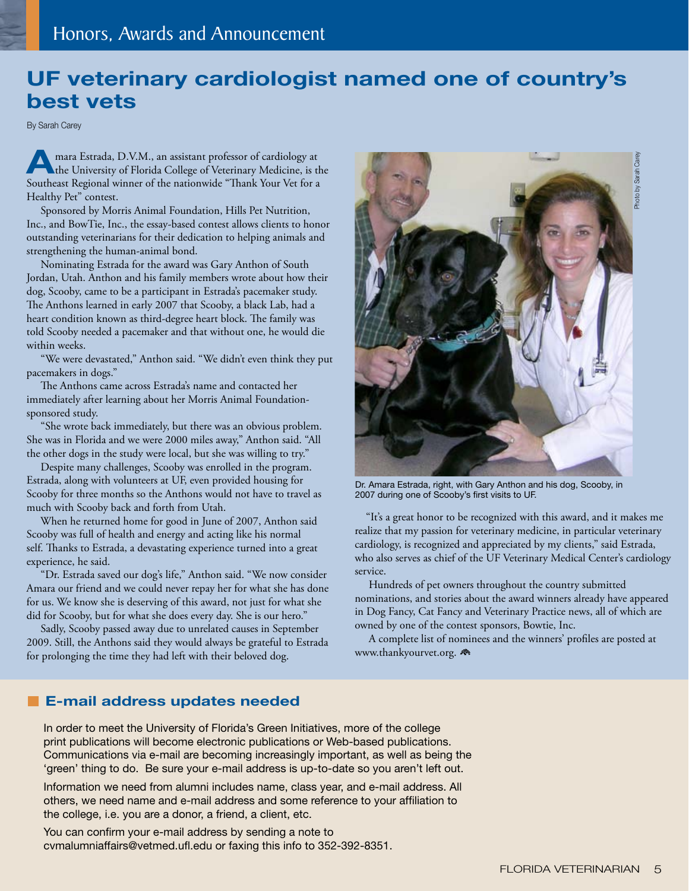## **UF veterinary cardiologist named one of country's best vets**

By Sarah Carey

**AMARA Extrada, D.V.M., an assistant professor of cardiology at the University of Florida College of Veterinary Medicine, is the** Southeast Regional winner of the nationwide "Thank Your Vet for a Healthy Pet" contest.

 Sponsored by Morris Animal Foundation, Hills Pet Nutrition, Inc., and BowTie, Inc., the essay-based contest allows clients to honor outstanding veterinarians for their dedication to helping animals and strengthening the human-animal bond.

 Nominating Estrada for the award was Gary Anthon of South Jordan, Utah. Anthon and his family members wrote about how their dog, Scooby, came to be a participant in Estrada's pacemaker study. The Anthons learned in early 2007 that Scooby, a black Lab, had a heart condition known as third-degree heart block. The family was told Scooby needed a pacemaker and that without one, he would die within weeks.

 "We were devastated," Anthon said. "We didn't even think they put pacemakers in dogs."

 The Anthons came across Estrada's name and contacted her immediately after learning about her Morris Animal Foundationsponsored study.

 "She wrote back immediately, but there was an obvious problem. She was in Florida and we were 2000 miles away," Anthon said. "All the other dogs in the study were local, but she was willing to try."

 Despite many challenges, Scooby was enrolled in the program. Estrada, along with volunteers at UF, even provided housing for Scooby for three months so the Anthons would not have to travel as much with Scooby back and forth from Utah.

 When he returned home for good in June of 2007, Anthon said Scooby was full of health and energy and acting like his normal self. Thanks to Estrada, a devastating experience turned into a great experience, he said.

 "Dr. Estrada saved our dog's life," Anthon said. "We now consider Amara our friend and we could never repay her for what she has done for us. We know she is deserving of this award, not just for what she did for Scooby, but for what she does every day. She is our hero."

 Sadly, Scooby passed away due to unrelated causes in September 2009. Still, the Anthons said they would always be grateful to Estrada for prolonging the time they had left with their beloved dog.



Dr. Amara Estrada, right, with Gary Anthon and his dog, Scooby, in 2007 during one of Scooby's first visits to UF.

 "It's a great honor to be recognized with this award, and it makes me realize that my passion for veterinary medicine, in particular veterinary cardiology, is recognized and appreciated by my clients," said Estrada, who also serves as chief of the UF Veterinary Medical Center's cardiology service.

 Hundreds of pet owners throughout the country submitted nominations, and stories about the award winners already have appeared in Dog Fancy, Cat Fancy and Veterinary Practice news, all of which are owned by one of the contest sponsors, Bowtie, Inc.

 A complete list of nominees and the winners' profiles are posted at www.thankyourvet.org.

#### **E-mail address updates needed**

In order to meet the University of Florida's Green Initiatives, more of the college print publications will become electronic publications or Web-based publications. Communications via e-mail are becoming increasingly important, as well as being the 'green' thing to do. Be sure your e-mail address is up-to-date so you aren't left out.

Information we need from alumni includes name, class year, and e-mail address. All others, we need name and e-mail address and some reference to your affiliation to the college, i.e. you are a donor, a friend, a client, etc.

You can confirm your e-mail address by sending a note to cvmalumniaffairs@vetmed.ufl.edu or faxing this info to 352-392-8351.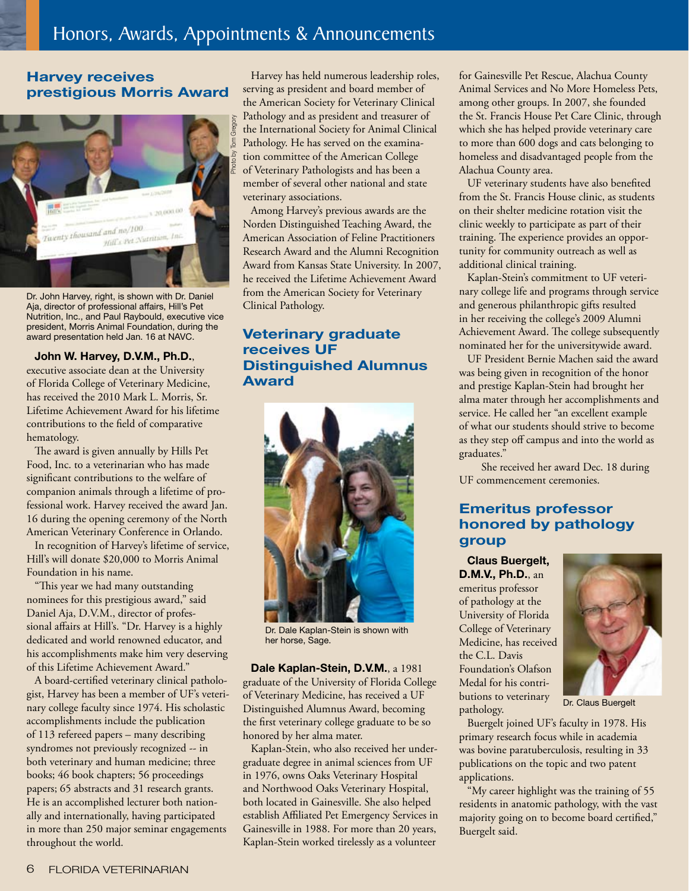#### **Harvey receives prestigious Morris Award**



Dr. John Harvey, right, is shown with Dr. Daniel Aja, director of professional affairs, Hill's Pet Nutrition, Inc., and Paul Raybould, executive vice president, Morris Animal Foundation, during the award presentation held Jan. 16 at NAVC.

#### **John W. Harvey, D.V.M., Ph.D.**,

executive associate dean at the University of Florida College of Veterinary Medicine, has received the 2010 Mark L. Morris, Sr. Lifetime Achievement Award for his lifetime contributions to the field of comparative hematology.

The award is given annually by Hills Pet Food, Inc. to a veterinarian who has made significant contributions to the welfare of companion animals through a lifetime of professional work. Harvey received the award Jan. 16 during the opening ceremony of the North American Veterinary Conference in Orlando.

In recognition of Harvey's lifetime of service, Hill's will donate \$20,000 to Morris Animal Foundation in his name.

"This year we had many outstanding nominees for this prestigious award," said Daniel Aja, D.V.M., director of professional affairs at Hill's. "Dr. Harvey is a highly dedicated and world renowned educator, and his accomplishments make him very deserving of this Lifetime Achievement Award."

A board-certified veterinary clinical pathologist, Harvey has been a member of UF's veterinary college faculty since 1974. His scholastic accomplishments include the publication of 113 refereed papers – many describing syndromes not previously recognized -- in both veterinary and human medicine; three books; 46 book chapters; 56 proceedings papers; 65 abstracts and 31 research grants. He is an accomplished lecturer both nationally and internationally, having participated in more than 250 major seminar engagements throughout the world.

Harvey has held numerous leadership roles, serving as president and board member of the American Society for Veterinary Clinical Pathology and as president and treasurer of the International Society for Animal Clinical Pathology. He has served on the examination committee of the American College of Veterinary Pathologists and has been a member of several other national and state veterinary associations.

Among Harvey's previous awards are the Norden Distinguished Teaching Award, the American Association of Feline Practitioners Research Award and the Alumni Recognition Award from Kansas State University. In 2007, he received the Lifetime Achievement Award from the American Society for Veterinary Clinical Pathology.

#### **Veterinary graduate receives UF Distinguished Alumnus Award**



Dr. Dale Kaplan-Stein is shown with her horse, Sage.

**Dale Kaplan-Stein, D.V.M.**, a 1981 graduate of the University of Florida College of Veterinary Medicine, has received a UF Distinguished Alumnus Award, becoming the first veterinary college graduate to be so honored by her alma mater.

Kaplan-Stein, who also received her undergraduate degree in animal sciences from UF in 1976, owns Oaks Veterinary Hospital and Northwood Oaks Veterinary Hospital, both located in Gainesville. She also helped establish Affiliated Pet Emergency Services in Gainesville in 1988. For more than 20 years, Kaplan-Stein worked tirelessly as a volunteer

for Gainesville Pet Rescue, Alachua County Animal Services and No More Homeless Pets, among other groups. In 2007, she founded the St. Francis House Pet Care Clinic, through which she has helped provide veterinary care to more than 600 dogs and cats belonging to homeless and disadvantaged people from the Alachua County area.

UF veterinary students have also benefited from the St. Francis House clinic, as students on their shelter medicine rotation visit the clinic weekly to participate as part of their training. The experience provides an opportunity for community outreach as well as additional clinical training.

Kaplan-Stein's commitment to UF veterinary college life and programs through service and generous philanthropic gifts resulted in her receiving the college's 2009 Alumni Achievement Award. The college subsequently nominated her for the universitywide award.

UF President Bernie Machen said the award was being given in recognition of the honor and prestige Kaplan-Stein had brought her alma mater through her accomplishments and service. He called her "an excellent example of what our students should strive to become as they step off campus and into the world as graduates."

 She received her award Dec. 18 during UF commencement ceremonies.

#### **Emeritus professor honored by pathology group**

**Claus Buergelt, D.M.V., Ph.D.**, an emeritus professor of pathology at the University of Florida College of Veterinary Medicine, has received the C.L. Davis Foundation's Olafson Medal for his contributions to veterinary pathology.



Dr. Claus Buergelt

Buergelt joined UF's faculty in 1978. His primary research focus while in academia was bovine paratuberculosis, resulting in 33 publications on the topic and two patent applications.

"My career highlight was the training of 55 residents in anatomic pathology, with the vast majority going on to become board certified," Buergelt said.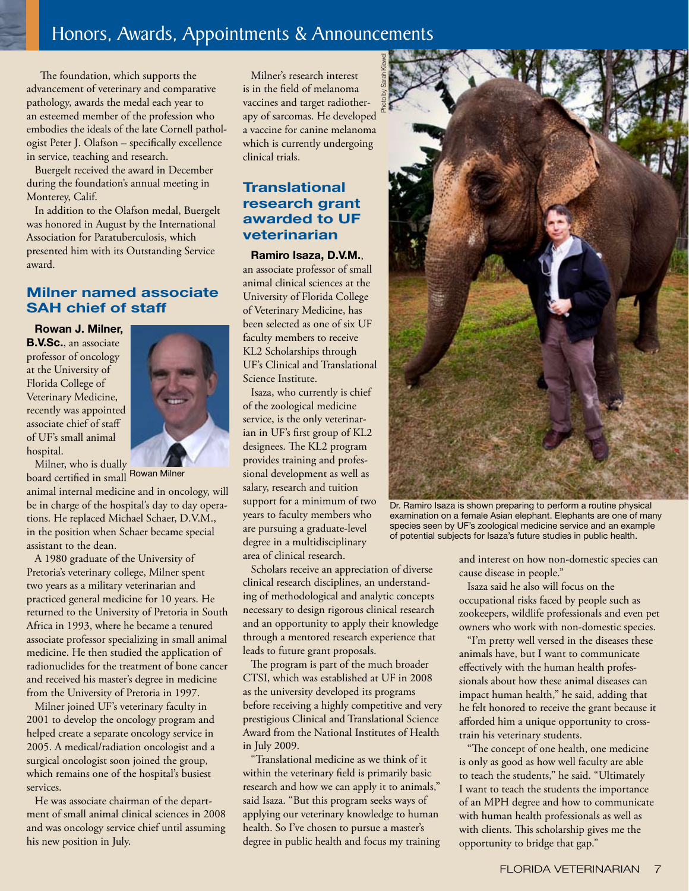## Honors, Awards, Appointments & Announcements

 The foundation, which supports the advancement of veterinary and comparative pathology, awards the medal each year to an esteemed member of the profession who embodies the ideals of the late Cornell pathologist Peter J. Olafson – specifically excellence in service, teaching and research.

Buergelt received the award in December during the foundation's annual meeting in Monterey, Calif.

In addition to the Olafson medal, Buergelt was honored in August by the International Association for Paratuberculosis, which presented him with its Outstanding Service award.

#### **Milner named associate SAH chief of staff**

**Rowan J. Milner, B.V.Sc.**, an associate professor of oncology at the University of Florida College of Veterinary Medicine, recently was appointed associate chief of staff of UF's small animal hospital.



Milner, who is dually<br>and certified in small Rowan Milner board certified in small

animal internal medicine and in oncology, will be in charge of the hospital's day to day operations. He replaced Michael Schaer, D.V.M., in the position when Schaer became special assistant to the dean.

A 1980 graduate of the University of Pretoria's veterinary college, Milner spent two years as a military veterinarian and practiced general medicine for 10 years. He returned to the University of Pretoria in South Africa in 1993, where he became a tenured associate professor specializing in small animal medicine. He then studied the application of radionuclides for the treatment of bone cancer and received his master's degree in medicine from the University of Pretoria in 1997.

Milner joined UF's veterinary faculty in 2001 to develop the oncology program and helped create a separate oncology service in 2005. A medical/radiation oncologist and a surgical oncologist soon joined the group, which remains one of the hospital's busiest services.

He was associate chairman of the department of small animal clinical sciences in 2008 and was oncology service chief until assuming his new position in July.

Milner's research interest is in the field of melanoma vaccines and target radiotherapy of sarcomas. He developed a vaccine for canine melanoma which is currently undergoing clinical trials.

#### **Translational research grant awarded to UF veterinarian**

**Ramiro Isaza, D.V.M.**, an associate professor of small animal clinical sciences at the University of Florida College of Veterinary Medicine, has been selected as one of six UF faculty members to receive KL2 Scholarships through UF's Clinical and Translational Science Institute.

Isaza, who currently is chief of the zoological medicine service, is the only veterinarian in UF's first group of KL2 designees. The KL2 program provides training and professional development as well as salary, research and tuition support for a minimum of two years to faculty members who are pursuing a graduate-level degree in a multidisciplinary area of clinical research.

Scholars receive an appreciation of diverse clinical research disciplines, an understanding of methodological and analytic concepts necessary to design rigorous clinical research and an opportunity to apply their knowledge through a mentored research experience that leads to future grant proposals.

The program is part of the much broader CTSI, which was established at UF in 2008 as the university developed its programs before receiving a highly competitive and very prestigious Clinical and Translational Science Award from the National Institutes of Health in July 2009.

"Translational medicine as we think of it within the veterinary field is primarily basic research and how we can apply it to animals," said Isaza. "But this program seeks ways of applying our veterinary knowledge to human health. So I've chosen to pursue a master's degree in public health and focus my training



Dr. Ramiro Isaza is shown preparing to perform a routine physical examination on a female Asian elephant. Elephants are one of many species seen by UF's zoological medicine service and an example of potential subjects for Isaza's future studies in public health.

and interest on how non-domestic species can cause disease in people."

Isaza said he also will focus on the occupational risks faced by people such as zookeepers, wildlife professionals and even pet owners who work with non-domestic species.

"I'm pretty well versed in the diseases these animals have, but I want to communicate effectively with the human health professionals about how these animal diseases can impact human health," he said, adding that he felt honored to receive the grant because it afforded him a unique opportunity to crosstrain his veterinary students.

"The concept of one health, one medicine is only as good as how well faculty are able to teach the students," he said. "Ultimately I want to teach the students the importance of an MPH degree and how to communicate with human health professionals as well as with clients. This scholarship gives me the opportunity to bridge that gap."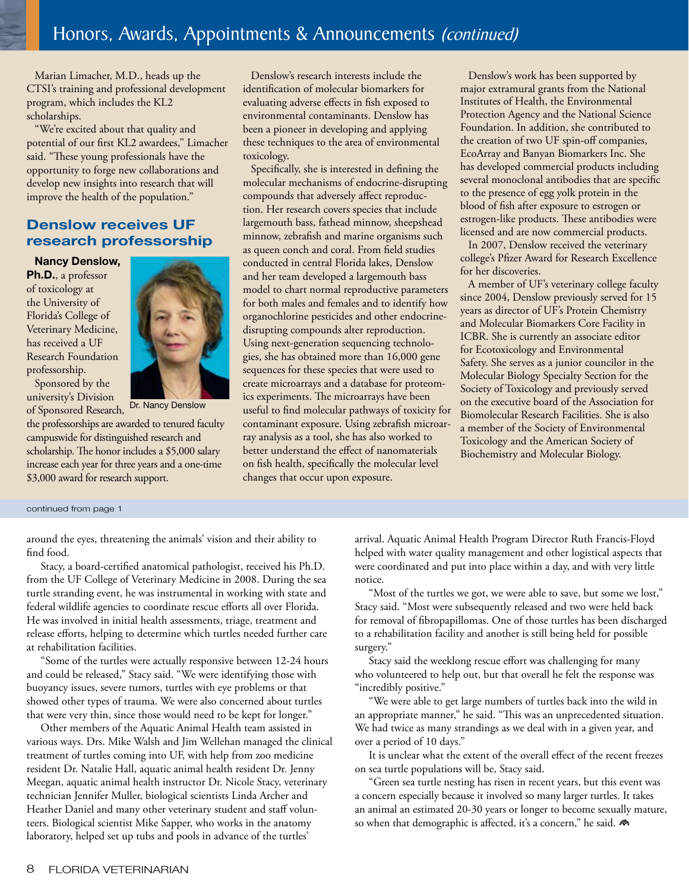Marian Limacher, M.D., heads up the CTSI's training and professional development program, which includes the KL2 scholarships.

"We're excited about that quality and potential of our first KL2 awardees," Limacher said. "These young professionals have the opportunity to forge new collaborations and develop new insights into research that will improve the health of the population."

#### **Denslow receives UF research professorship**

**Nancy Denslow,** 

**Ph.D.**, a professor of toxicology at the University of Florida's College of Veterinary Medicine, has received a UF Research Foundation professorship.





Dr. Nancy Denslow

the professorships are awarded to tenured faculty campuswide for distinguished research and scholarship. The honor includes a \$5,000 salary increase each year for three years and a one-time \$3,000 award for research support.

Denslow's research interests include the identification of molecular biomarkers for evaluating adverse effects in fish exposed to environmental contaminants. Denslow has been a pioneer in developing and applying these techniques to the area of environmental toxicology.

Specifically, she is interested in defining the molecular mechanisms of endocrine-disrupting compounds that adversely affect reproduction. Her research covers species that include largemouth bass, fathead minnow, sheepshead minnow, zebrafish and marine organisms such as queen conch and coral. From field studies conducted in central Florida lakes, Denslow and her team developed a largemouth bass model to chart normal reproductive parameters for both males and females and to identify how organochlorine pesticides and other endocrinedisrupting compounds alter reproduction. Using next-generation sequencing technologies, she has obtained more than 16,000 gene sequences for these species that were used to create microarrays and a database for proteomics experiments. The microarrays have been useful to find molecular pathways of toxicity for contaminant exposure. Using zebrafish microarray analysis as a tool, she has also worked to better understand the effect of nanomaterials on fish health, specifically the molecular level changes that occur upon exposure.

Denslow's work has been supported by major extramural grants from the National Institutes of Health, the Environmental Protection Agency and the National Science Foundation. In addition, she contributed to the creation of two UF spin-off companies, EcoArray and Banyan Biomarkers Inc. She has developed commercial products including several monoclonal antibodies that are specific to the presence of egg yolk protein in the blood of fish after exposure to estrogen or estrogen-like products. These antibodies were licensed and are now commercial products.

In 2007, Denslow received the veterinary college's Pfizer Award for Research Excellence for her discoveries.

A member of UF's veterinary college faculty since 2004, Denslow previously served for 15 years as director of UF's Protein Chemistry and Molecular Biomarkers Core Facility in ICBR. She is currently an associate editor for Ecotoxicology and Environmental Safety. She serves as a junior councilor in the Molecular Biology Specialty Section for the Society of Toxicology and previously served on the executive board of the Association for Biomolecular Research Facilities. She is also a member of the Society of Environmental Toxicology and the American Society of Biochemistry and Molecular Biology.

continued from page 1

around the eyes, threatening the animals' vision and their ability to find food.

 Stacy, a board-certified anatomical pathologist, received his Ph.D. from the UF College of Veterinary Medicine in 2008. During the sea turtle stranding event, he was instrumental in working with state and federal wildlife agencies to coordinate rescue efforts all over Florida. He was involved in initial health assessments, triage, treatment and release efforts, helping to determine which turtles needed further care at rehabilitation facilities.

 "Some of the turtles were actually responsive between 12-24 hours and could be released," Stacy said. "We were identifying those with buoyancy issues, severe tumors, turtles with eye problems or that showed other types of trauma. We were also concerned about turtles that were very thin, since those would need to be kept for longer."

 Other members of the Aquatic Animal Health team assisted in various ways. Drs. Mike Walsh and Jim Wellehan managed the clinical treatment of turtles coming into UF, with help from zoo medicine resident Dr. Natalie Hall, aquatic animal health resident Dr. Jenny Meegan, aquatic animal health instructor Dr. Nicole Stacy, veterinary technician Jennifer Muller, biological scientists Linda Archer and Heather Daniel and many other veterinary student and staff volunteers. Biological scientist Mike Sapper, who works in the anatomy laboratory, helped set up tubs and pools in advance of the turtles'

arrival. Aquatic Animal Health Program Director Ruth Francis-Floyd helped with water quality management and other logistical aspects that were coordinated and put into place within a day, and with very little notice.

 "Most of the turtles we got, we were able to save, but some we lost," Stacy said. "Most were subsequently released and two were held back for removal of fibropapillomas. One of those turtles has been discharged to a rehabilitation facility and another is still being held for possible surgery."

 Stacy said the weeklong rescue effort was challenging for many who volunteered to help out, but that overall he felt the response was "incredibly positive."

 "We were able to get large numbers of turtles back into the wild in an appropriate manner," he said. "This was an unprecedented situation. We had twice as many strandings as we deal with in a given year, and over a period of 10 days."

 It is unclear what the extent of the overall effect of the recent freezes on sea turtle populations will be, Stacy said.

 "Green sea turtle nesting has risen in recent years, but this event was a concern especially because it involved so many larger turtles. It takes an animal an estimated 20-30 years or longer to become sexually mature, so when that demographic is affected, it's a concern," he said.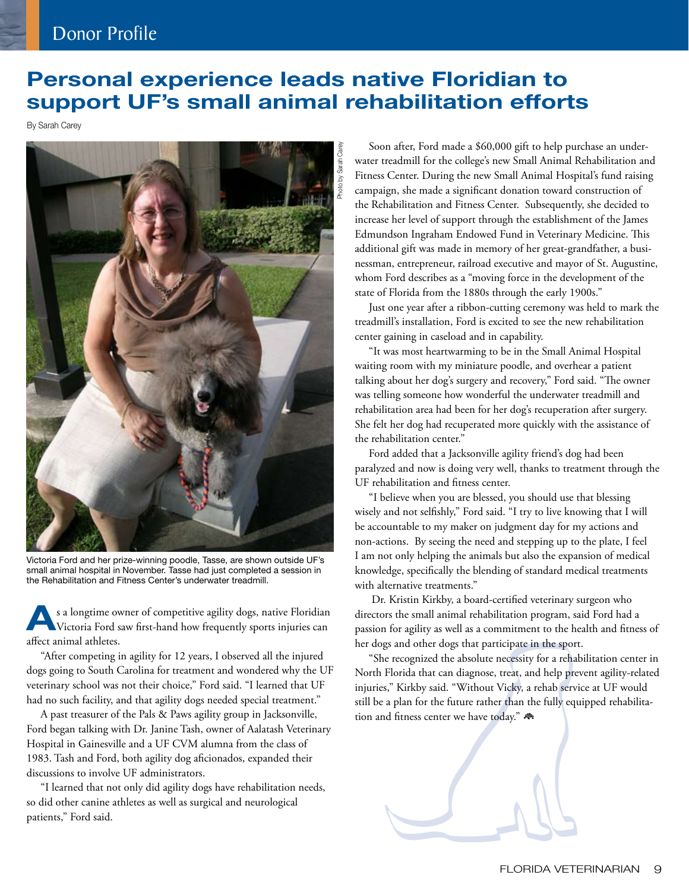## Donor Profile

## **Personal experience leads native Floridian to support UF's small animal rehabilitation efforts**

By Sarah Carey



Victoria Ford and her prize-winning poodle, Tasse, are shown outside UF's small animal hospital in November. Tasse had just completed a session in the Rehabilitation and Fitness Center's underwater treadmill.

**A**s a longtime owner of competitive agility dogs, native Floridian Victoria Ford saw first-hand how frequently sports injuries can affect animal athletes.

 "After competing in agility for 12 years, I observed all the injured dogs going to South Carolina for treatment and wondered why the UF veterinary school was not their choice," Ford said. "I learned that UF had no such facility, and that agility dogs needed special treatment."

 A past treasurer of the Pals & Paws agility group in Jacksonville, Ford began talking with Dr. Janine Tash, owner of Aalatash Veterinary Hospital in Gainesville and a UF CVM alumna from the class of 1983. Tash and Ford, both agility dog aficionados, expanded their discussions to involve UF administrators.

 "I learned that not only did agility dogs have rehabilitation needs, so did other canine athletes as well as surgical and neurological patients," Ford said.

 Soon after, Ford made a \$60,000 gift to help purchase an underwater treadmill for the college's new Small Animal Rehabilitation and Fitness Center. During the new Small Animal Hospital's fund raising campaign, she made a significant donation toward construction of the Rehabilitation and Fitness Center. Subsequently, she decided to increase her level of support through the establishment of the James Edmundson Ingraham Endowed Fund in Veterinary Medicine. This additional gift was made in memory of her great-grandfather, a businessman, entrepreneur, railroad executive and mayor of St. Augustine, whom Ford describes as a "moving force in the development of the state of Florida from the 1880s through the early 1900s."

 Just one year after a ribbon-cutting ceremony was held to mark the treadmill's installation, Ford is excited to see the new rehabilitation center gaining in caseload and in capability.

 "It was most heartwarming to be in the Small Animal Hospital waiting room with my miniature poodle, and overhear a patient talking about her dog's surgery and recovery," Ford said. "The owner was telling someone how wonderful the underwater treadmill and rehabilitation area had been for her dog's recuperation after surgery. She felt her dog had recuperated more quickly with the assistance of the rehabilitation center."

 Ford added that a Jacksonville agility friend's dog had been paralyzed and now is doing very well, thanks to treatment through the UF rehabilitation and fitness center.

 "I believe when you are blessed, you should use that blessing wisely and not selfishly," Ford said. "I try to live knowing that I will be accountable to my maker on judgment day for my actions and non-actions. By seeing the need and stepping up to the plate, I feel I am not only helping the animals but also the expansion of medical knowledge, specifically the blending of standard medical treatments with alternative treatments."

 Dr. Kristin Kirkby, a board-certified veterinary surgeon who directors the small animal rehabilitation program, said Ford had a passion for agility as well as a commitment to the health and fitness of her dogs and other dogs that participate in the sport.

 "She recognized the absolute necessity for a rehabilitation center in North Florida that can diagnose, treat, and help prevent agility-related injuries," Kirkby said. "Without Vicky, a rehab service at UF would still be a plan for the future rather than the fully equipped rehabilitation and fitness center we have today."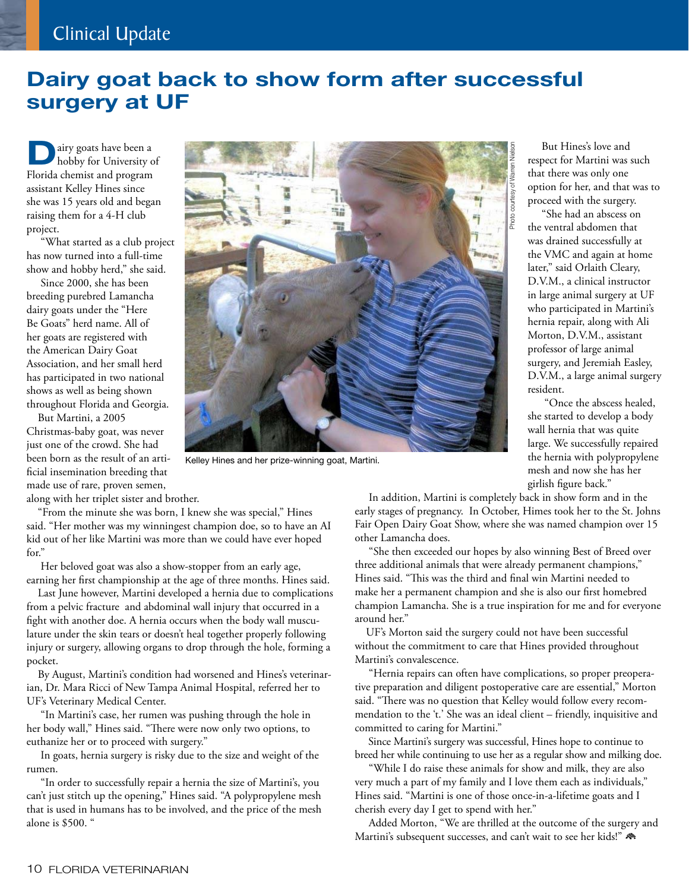## Clinical Update

## **Dairy goat back to show form after successful surgery at UF**

**D**airy goats have been a hobby for University of Florida chemist and program assistant Kelley Hines since she was 15 years old and began raising them for a 4-H club project.

 "What started as a club project has now turned into a full-time show and hobby herd," she said.

 Since 2000, she has been breeding purebred Lamancha dairy goats under the "Here Be Goats" herd name. All of her goats are registered with the American Dairy Goat Association, and her small herd has participated in two national shows as well as being shown throughout Florida and Georgia.

 But Martini, a 2005 Christmas-baby goat, was never just one of the crowd. She had been born as the result of an artificial insemination breeding that made use of rare, proven semen,



Kelley Hines and her prize-winning goat, Martini.

along with her triplet sister and brother.

 "From the minute she was born, I knew she was special," Hines said. "Her mother was my winningest champion doe, so to have an AI kid out of her like Martini was more than we could have ever hoped for."

 Her beloved goat was also a show-stopper from an early age, earning her first championship at the age of three months. Hines said.

 Last June however, Martini developed a hernia due to complications from a pelvic fracture and abdominal wall injury that occurred in a fight with another doe. A hernia occurs when the body wall musculature under the skin tears or doesn't heal together properly following injury or surgery, allowing organs to drop through the hole, forming a pocket.

 By August, Martini's condition had worsened and Hines's veterinarian, Dr. Mara Ricci of New Tampa Animal Hospital, referred her to UF's Veterinary Medical Center.

 "In Martini's case, her rumen was pushing through the hole in her body wall," Hines said. "There were now only two options, to euthanize her or to proceed with surgery."

 In goats, hernia surgery is risky due to the size and weight of the rumen.

 "In order to successfully repair a hernia the size of Martini's, you can't just stitch up the opening," Hines said. "A polypropylene mesh that is used in humans has to be involved, and the price of the mesh alone is \$500. "

 But Hines's love and respect for Martini was such that there was only one option for her, and that was to proceed with the surgery.

 "She had an abscess on the ventral abdomen that was drained successfully at the VMC and again at home later," said Orlaith Cleary, D.V.M., a clinical instructor in large animal surgery at UF who participated in Martini's hernia repair, along with Ali Morton, D.V.M., assistant professor of large animal surgery, and Jeremiah Easley, D.V.M., a large animal surgery resident.

 "Once the abscess healed, she started to develop a body wall hernia that was quite large. We successfully repaired the hernia with polypropylene mesh and now she has her girlish figure back."

 In addition, Martini is completely back in show form and in the early stages of pregnancy. In October, Himes took her to the St. Johns Fair Open Dairy Goat Show, where she was named champion over 15 other Lamancha does.

 "She then exceeded our hopes by also winning Best of Breed over three additional animals that were already permanent champions," Hines said. "This was the third and final win Martini needed to make her a permanent champion and she is also our first homebred champion Lamancha. She is a true inspiration for me and for everyone around her."

 UF's Morton said the surgery could not have been successful without the commitment to care that Hines provided throughout Martini's convalescence.

 "Hernia repairs can often have complications, so proper preoperative preparation and diligent postoperative care are essential," Morton said. "There was no question that Kelley would follow every recommendation to the 't.' She was an ideal client – friendly, inquisitive and committed to caring for Martini."

 Since Martini's surgery was successful, Hines hope to continue to breed her while continuing to use her as a regular show and milking doe.

 "While I do raise these animals for show and milk, they are also very much a part of my family and I love them each as individuals," Hines said. "Martini is one of those once-in-a-lifetime goats and I cherish every day I get to spend with her."

 Added Morton, "We are thrilled at the outcome of the surgery and Martini's subsequent successes, and can't wait to see her kids!"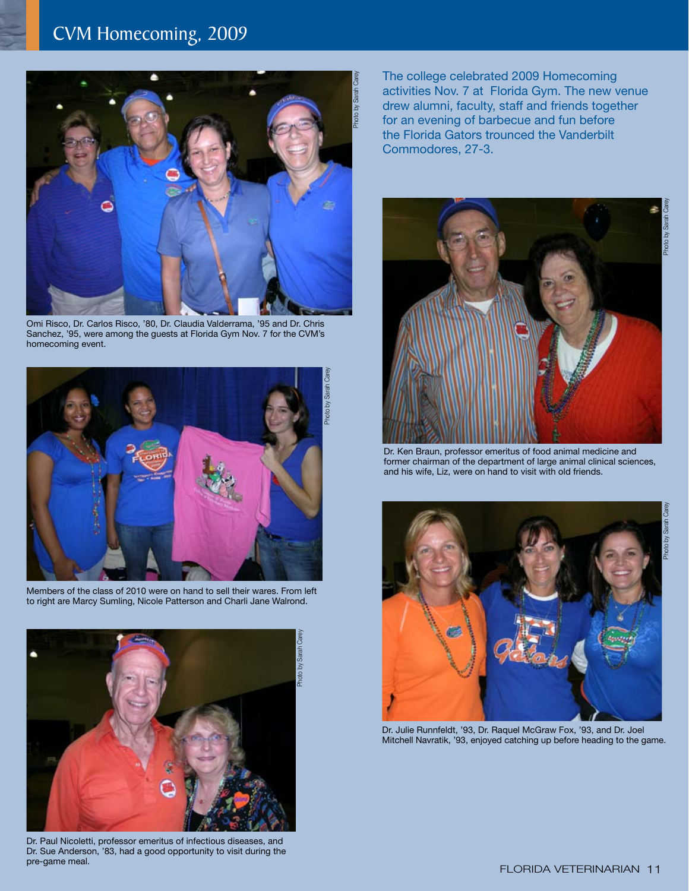## CVM Homecoming, 2009



Omi Risco, Dr. Carlos Risco, '80, Dr. Claudia Valderrama, '95 and Dr. Chris Sanchez, '95, were among the guests at Florida Gym Nov. 7 for the CVM's homecoming event.



Members of the class of 2010 were on hand to sell their wares. From left to right are Marcy Sumling, Nicole Patterson and Charli Jane Walrond.



Dr. Paul Nicoletti, professor emeritus of infectious diseases, and Dr. Sue Anderson, '83, had a good opportunity to visit during the pre-game meal.

The college celebrated 2009 Homecoming activities Nov. 7 at Florida Gym. The new venue drew alumni, faculty, staff and friends together for an evening of barbecue and fun before the Florida Gators trounced the Vanderbilt Commodores, 27-3.

# Photo by Sarah Carey Photo by Sarah (

Dr. Ken Braun, professor emeritus of food animal medicine and former chairman of the department of large animal clinical sciences, and his wife, Liz, were on hand to visit with old friends.



Dr. Julie Runnfeldt, '93, Dr. Raquel McGraw Fox, '93, and Dr. Joel